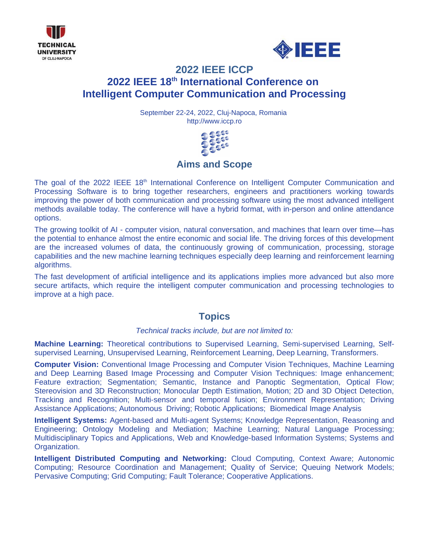



# **2022 IEEE ICCP 2022 IEEE 18th International Conference on Intelligent Computer Communication and Processing**

September 22-24, 2022, Cluj-Napoca, Romania http://www.iccp.ro



## **Aims and Scope**

The goal of the 2022 IEEE 18<sup>th</sup> International Conference on Intelligent Computer Communication and Processing Software is to bring together researchers, engineers and practitioners working towards improving the power of both communication and processing software using the most advanced intelligent methods available today. The conference will have a hybrid format, with in-person and online attendance options.

The growing toolkit of AI - computer vision, natural conversation, and machines that learn over time—has the potential to enhance almost the entire economic and social life. The driving forces of this development are the increased volumes of data, the continuously growing of communication, processing, storage capabilities and the new machine learning techniques especially deep learning and reinforcement learning algorithms.

The fast development of artificial intelligence and its applications implies more advanced but also more secure artifacts, which require the intelligent computer communication and processing technologies to improve at a high pace.

### **Topics**

#### *Technical tracks include, but are not limited to:*

**Machine Learning:** Theoretical contributions to Supervised Learning, Semi-supervised Learning, Selfsupervised Learning, Unsupervised Learning, Reinforcement Learning, Deep Learning, Transformers.

**Computer Vision:** Conventional Image Processing and Computer Vision Techniques, Machine Learning and Deep Learning Based Image Processing and Computer Vision Techniques: Image enhancement; Feature extraction; Segmentation; Semantic, Instance and Panoptic Segmentation, Optical Flow; Stereovision and 3D Reconstruction; Monocular Depth Estimation, Motion; 2D and 3D Object Detection, Tracking and Recognition; Multi-sensor and temporal fusion; Environment Representation; Driving Assistance Applications; Autonomous Driving; Robotic Applications; Biomedical Image Analysis

**Intelligent Systems:** Agent-based and Multi-agent Systems; Knowledge Representation, Reasoning and Engineering; Ontology Modeling and Mediation; Machine Learning; Natural Language Processing; Multidisciplinary Topics and Applications, Web and Knowledge-based Information Systems; Systems and Organization.

**Intelligent Distributed Computing and Networking:** Cloud Computing, Context Aware; Autonomic Computing; Resource Coordination and Management; Quality of Service; Queuing Network Models; Pervasive Computing; Grid Computing; Fault Tolerance; Cooperative Applications.